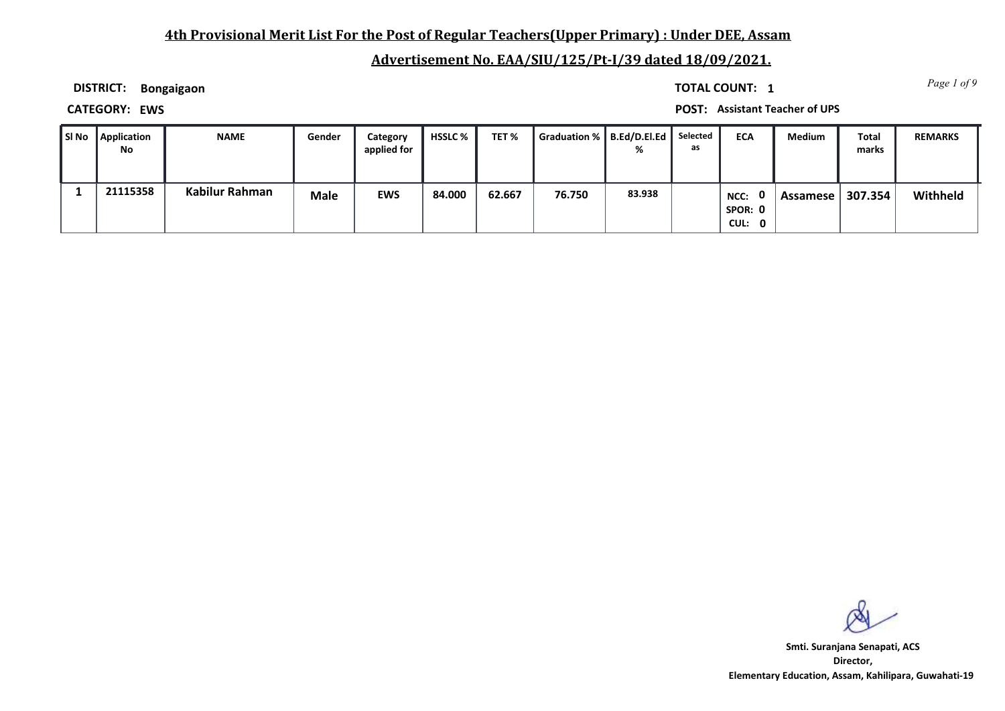# **4th Provisional Merit List For the Post of Regular Teachers(Upper Primary) : Under DEE, Assam**

# **Advertisement No. EAA/SIU/125/Pt-I/39 dated 18/09/2021.**

**DISTRICT: Bongaigaon**

*Page 1 of 9* **TOTAL COUNT: 1**

**CATEGORY: EWS POST: Assistant Teacher of UPS**

| l SI No | <b>Application</b><br>No | <b>NAME</b>    | Gender      | Category<br>applied for | <b>HSSLC</b> % | TET%   | Graduation %   B.Ed/D.El.Ed |        | Selected<br>as | <b>ECA</b>                  | Medium   | <b>Total</b><br>marks | <b>REMARKS</b> |
|---------|--------------------------|----------------|-------------|-------------------------|----------------|--------|-----------------------------|--------|----------------|-----------------------------|----------|-----------------------|----------------|
|         | 21115358                 | Kabilur Rahman | <b>Male</b> | <b>EWS</b>              | 84.000         | 62.667 | 76.750                      | 83.938 |                | NCC: 0<br>SPOR: 0<br>CUL: 0 | Assamese | 307.354               | Withheld       |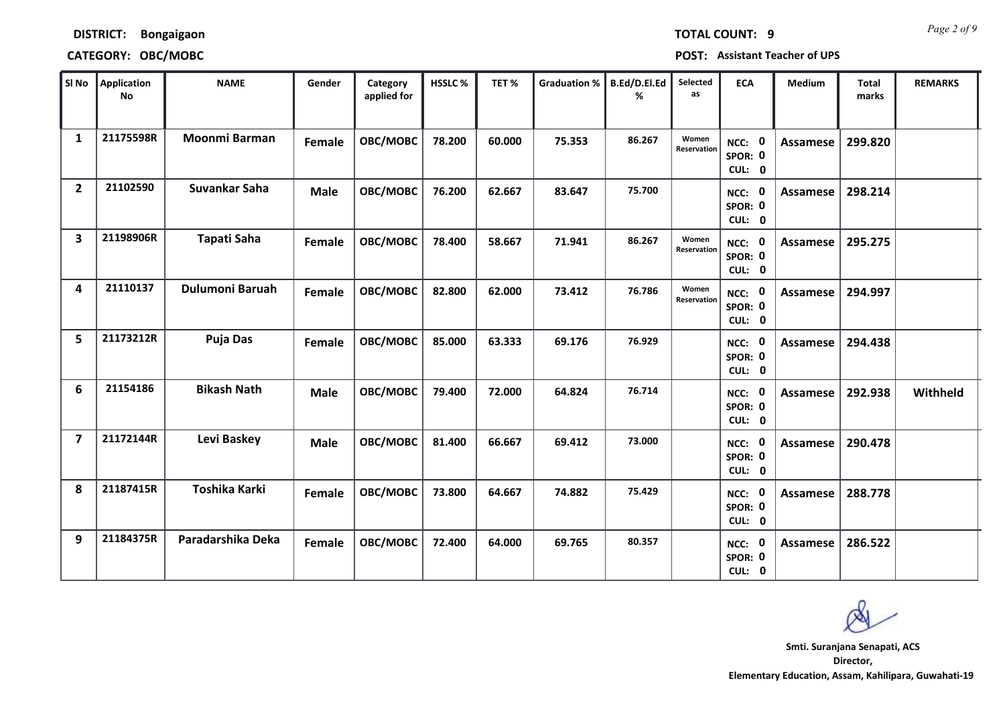**DISTRICT: Bongaigaon**

# **CATEGORY: OBC/MOBC POST: Assistant Teacher of UPS**

| SI No                   | Application<br><b>No</b> | <b>NAME</b>          | Gender        | Category<br>applied for | <b>HSSLC%</b> | TET%   | <b>Graduation %</b> | B.Ed/D.El.Ed<br>% | Selected<br>as       | <b>ECA</b>                                | <b>Medium</b>   | <b>Total</b><br>marks | <b>REMARKS</b> |
|-------------------------|--------------------------|----------------------|---------------|-------------------------|---------------|--------|---------------------|-------------------|----------------------|-------------------------------------------|-----------------|-----------------------|----------------|
| 1                       | 21175598R                | <b>Moonmi Barman</b> | <b>Female</b> | OBC/MOBC                | 78.200        | 60.000 | 75.353              | 86.267            | Women<br>Reservation | NCC: 0<br>SPOR: 0<br>CUL: 0               | <b>Assamese</b> | 299.820               |                |
| $\overline{2}$          | 21102590                 | Suvankar Saha        | <b>Male</b>   | OBC/MOBC                | 76.200        | 62.667 | 83.647              | 75.700            |                      | NCC: 0<br>SPOR: 0<br>CUL: 0               | Assamese        | 298.214               |                |
| 3                       | 21198906R                | <b>Tapati Saha</b>   | Female        | OBC/MOBC                | 78.400        | 58.667 | 71.941              | 86.267            | Women<br>Reservation | NCC: 0<br>SPOR: 0<br>CUL: 0               | Assamese        | 295.275               |                |
| 4                       | 21110137                 | Dulumoni Baruah      | Female        | OBC/MOBC                | 82.800        | 62.000 | 73.412              | 76.786            | Women<br>Reservation | $\mathbf 0$<br>NCC:<br>SPOR: 0<br>CUL: 0  | Assamese        | 294.997               |                |
| 5                       | 21173212R                | <b>Puja Das</b>      | Female        | OBC/MOBC                | 85.000        | 63.333 | 69.176              | 76.929            |                      | $\mathbf{0}$<br>NCC:<br>SPOR: 0<br>CUL: 0 | Assamese        | 294.438               |                |
| 6                       | 21154186                 | <b>Bikash Nath</b>   | <b>Male</b>   | OBC/MOBC                | 79.400        | 72.000 | 64.824              | 76.714            |                      | $\mathbf 0$<br>NCC:<br>SPOR: 0<br>CUL: 0  | Assamese        | 292.938               | Withheld       |
| $\overline{\mathbf{z}}$ | 21172144R                | Levi Baskey          | <b>Male</b>   | OBC/MOBC                | 81.400        | 66.667 | 69.412              | 73.000            |                      | NCC: 0<br>SPOR: 0<br>CUL: 0               | <b>Assamese</b> | 290.478               |                |
| 8                       | 21187415R                | Toshika Karki        | Female        | OBC/MOBC                | 73.800        | 64.667 | 74.882              | 75.429            |                      | $\mathbf 0$<br>NCC:<br>SPOR: 0<br>CUL: 0  | Assamese        | 288.778               |                |
| 9                       | 21184375R                | Paradarshika Deka    | Female        | OBC/MOBC                | 72.400        | 64.000 | 69.765              | 80.357            |                      | 0<br>NCC:<br>SPOR: 0<br>CUL: 0            | Assamese        | 286.522               |                |

**Director, Elementary Education, Assam, Kahilipara, Guwahati-19 Smti. Suranjana Senapati, ACS**

*Page 2 of 9* **TOTAL COUNT: 9**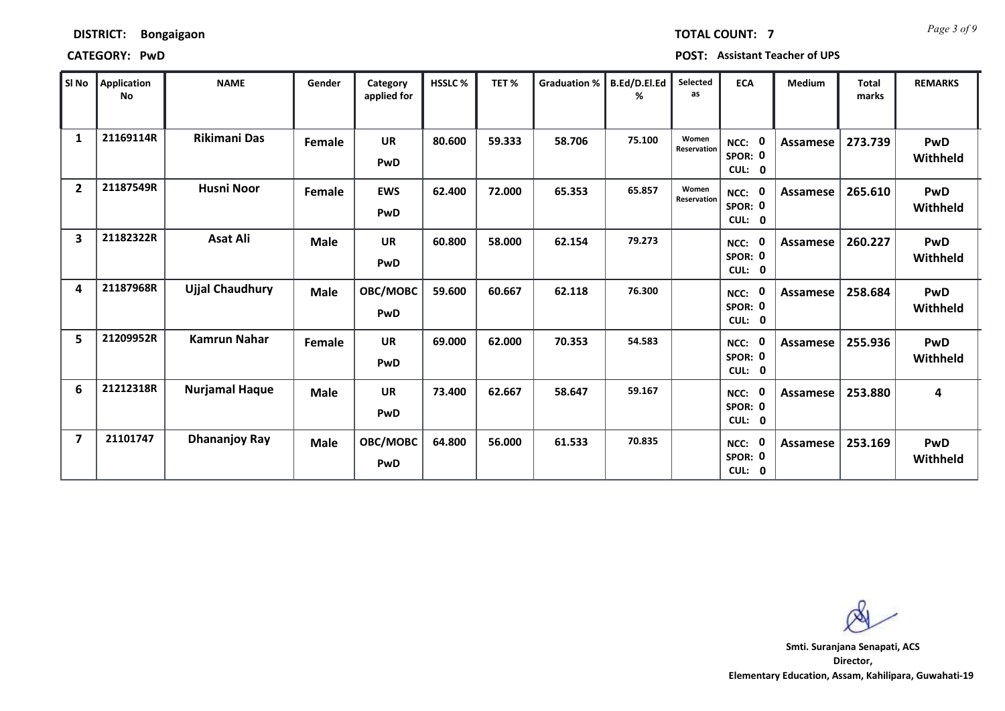**CATEGORY: PwD POST: Assistant Teacher of UPS**

| SI No                   | Application<br>No | <b>NAME</b>            | Gender        | Category<br>applied for | HSSLC% | TET%   | <b>Graduation %</b> | B.Ed/D.El.Ed<br>% | Selected<br>as       | <b>ECA</b>                                | Medium          | <b>Total</b><br>marks | <b>REMARKS</b>         |
|-------------------------|-------------------|------------------------|---------------|-------------------------|--------|--------|---------------------|-------------------|----------------------|-------------------------------------------|-----------------|-----------------------|------------------------|
| 1                       | 21169114R         | <b>Rikimani Das</b>    | <b>Female</b> | <b>UR</b><br>PwD        | 80.600 | 59.333 | 58.706              | 75.100            | Women<br>Reservation | $\mathbf 0$<br>NCC:<br>SPOR: 0<br>CUL: 0  | Assamese        | 273.739               | <b>PwD</b><br>Withheld |
| $\overline{2}$          | 21187549R         | <b>Husni Noor</b>      | Female        | <b>EWS</b><br>PwD       | 62.400 | 72.000 | 65.353              | 65.857            | Women<br>Reservation | $\mathbf 0$<br>NCC:<br>SPOR: 0<br>CUL: 0  | <b>Assamese</b> | 265.610               | PwD<br>Withheld        |
| 3                       | 21182322R         | <b>Asat Ali</b>        | <b>Male</b>   | <b>UR</b><br>PwD        | 60.800 | 58.000 | 62.154              | 79.273            |                      | 0<br>NCC:<br>SPOR: 0<br>CUL: 0            | Assamese        | 260.227               | PwD<br>Withheld        |
| 4                       | 21187968R         | <b>Ujjal Chaudhury</b> | <b>Male</b>   | OBC/MOBC<br>PwD         | 59.600 | 60.667 | 62.118              | 76.300            |                      | $\mathbf 0$<br>NCC:<br>SPOR: 0<br>CUL: 0  | Assamese        | 258.684               | PwD<br>Withheld        |
| 5                       | 21209952R         | <b>Kamrun Nahar</b>    | Female        | <b>UR</b><br>PwD        | 69.000 | 62.000 | 70.353              | 54.583            |                      | $\mathbf 0$<br>NCC:<br>SPOR: 0<br>CUL: 0  | Assamese        | 255.936               | <b>PwD</b><br>Withheld |
| 6                       | 21212318R         | <b>Nurjamal Haque</b>  | <b>Male</b>   | <b>UR</b><br>PwD        | 73.400 | 62.667 | 58.647              | 59.167            |                      | $\mathbf{0}$<br>NCC:<br>SPOR: 0<br>CUL: 0 | Assamese        | 253.880               | 4                      |
| $\overline{\mathbf{z}}$ | 21101747          | <b>Dhananjoy Ray</b>   | <b>Male</b>   | OBC/MOBC<br>PwD         | 64.800 | 56.000 | 61.533              | 70.835            |                      | $\mathbf 0$<br>NCC:<br>SPOR: 0<br>CUL: 0  | Assamese        | 253.169               | PwD<br>Withheld        |

**Director, Elementary Education, Assam, Kahilipara, Guwahati-19 Smti. Suranjana Senapati, ACS**

*Page 3 of 9* **TOTAL COUNT: 7**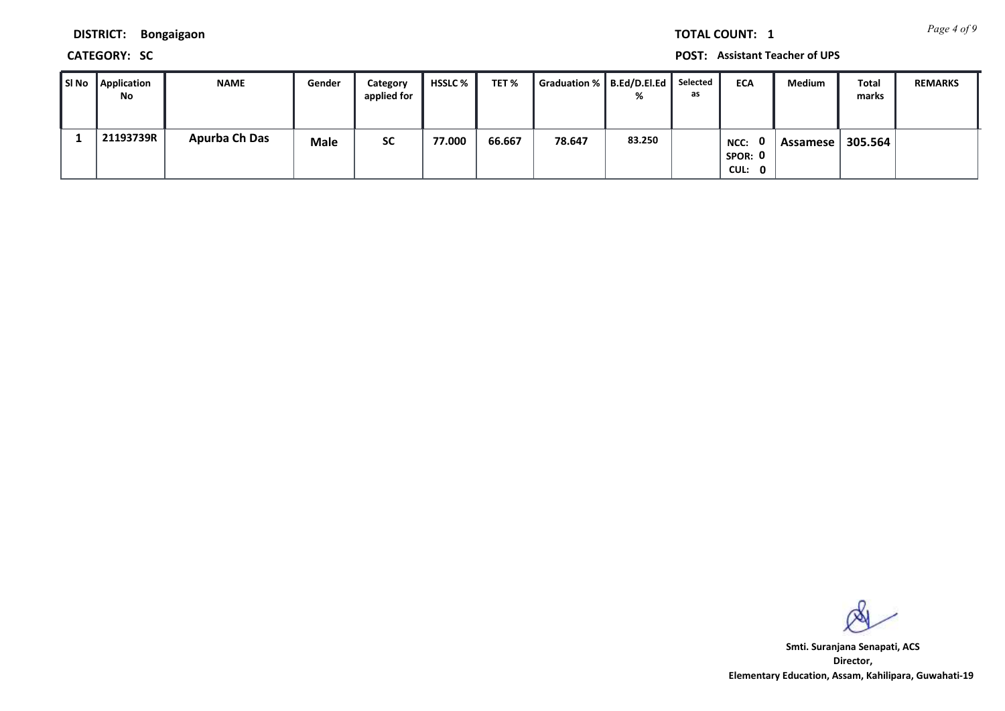*Page 4 of 9* **TOTAL COUNT: 1**

**DISTRICT: Bongaigaon**

**CATEGORY: SC POST: Assistant Teacher of UPS**

| SI No | Application<br>No | <b>NAME</b>          | Gender      | Category<br>applied for | HSSLC % | TET%   | Graduation %    B.Ed/D.El.Ed    Selected | %      | as | <b>ECA</b>                | Medium     | <b>Total</b><br>marks | <b>REMARKS</b> |
|-------|-------------------|----------------------|-------------|-------------------------|---------|--------|------------------------------------------|--------|----|---------------------------|------------|-----------------------|----------------|
|       | 21193739R         | <b>Apurba Ch Das</b> | <b>Male</b> | <b>SC</b>               | 77.000  | 66.667 | 78.647                                   | 83.250 |    | NCC:<br>SPOR: 0<br>CUL: 0 | Assamese I | 305.564               |                |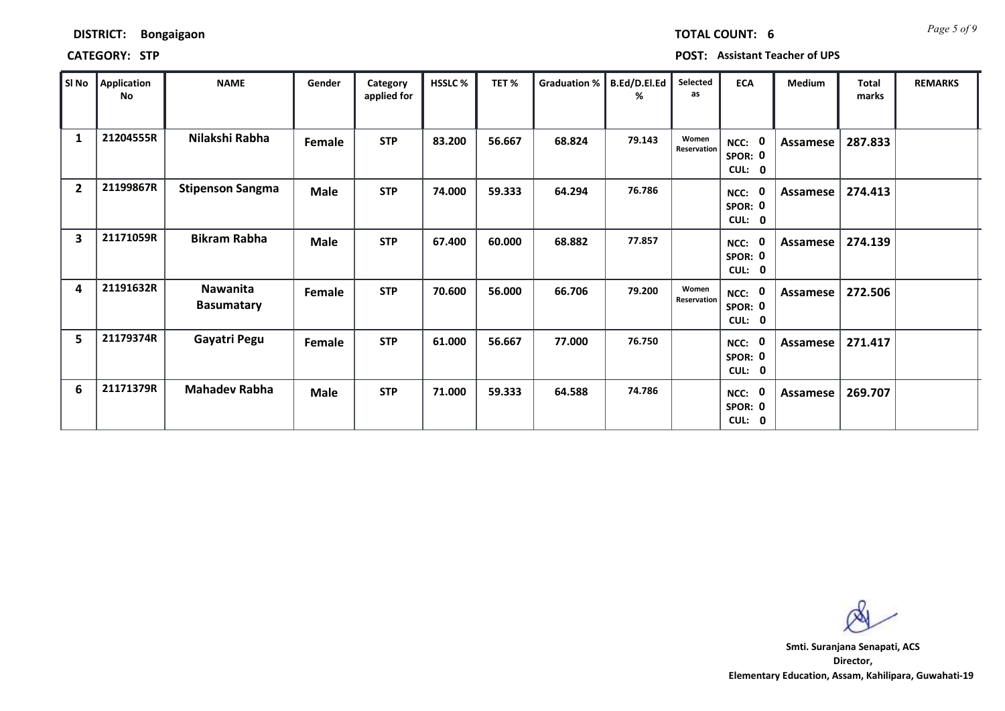## **CATEGORY: STP POST: Assistant Teacher of UPS**

| SI No          | Application<br>No | <b>NAME</b>                   | Gender      | Category<br>applied for | <b>HSSLC%</b> | TET%   | <b>Graduation %</b> | B.Ed/D.El.Ed<br>% | Selected<br>as       | <b>ECA</b>                                  | Medium          | <b>Total</b><br>marks | <b>REMARKS</b> |
|----------------|-------------------|-------------------------------|-------------|-------------------------|---------------|--------|---------------------|-------------------|----------------------|---------------------------------------------|-----------------|-----------------------|----------------|
| 1              | 21204555R         | Nilakshi Rabha                | Female      | <b>STP</b>              | 83.200        | 56.667 | 68.824              | 79.143            | Women<br>Reservation | 0<br>NCC:<br>SPOR: 0<br>CUL:<br>$\mathbf 0$ | Assamese        | 287.833               |                |
| $\overline{2}$ | 21199867R         | <b>Stipenson Sangma</b>       | <b>Male</b> | <b>STP</b>              | 74.000        | 59.333 | 64.294              | 76.786            |                      | NCC:<br>SPOR: 0<br>CUL: 0                   | Assamese        | 274.413               |                |
| 3              | 21171059R         | <b>Bikram Rabha</b>           | Male        | <b>STP</b>              | 67.400        | 60.000 | 68.882              | 77.857            |                      | 0<br>NCC:<br>SPOR: 0<br>CUL: 0              | Assamese        | 274.139               |                |
| 4              | 21191632R         | Nawanita<br><b>Basumatary</b> | Female      | <b>STP</b>              | 70.600        | 56.000 | 66.706              | 79.200            | Women<br>Reservation | NCC: 0<br>SPOR: 0<br>CUL: 0                 | Assamese        | 272.506               |                |
| 5              | 21179374R         | Gayatri Pegu                  | Female      | <b>STP</b>              | 61.000        | 56.667 | 77.000              | 76.750            |                      | 0<br>NCC:<br>SPOR: 0<br>CUL: 0              | <b>Assamese</b> | 271.417               |                |
| 6              | 21171379R         | <b>Mahadev Rabha</b>          | <b>Male</b> | <b>STP</b>              | 71.000        | 59.333 | 64.588              | 74.786            |                      | 0<br>NCC:<br>SPOR: 0<br>CUL: 0              | Assamese        | 269.707               |                |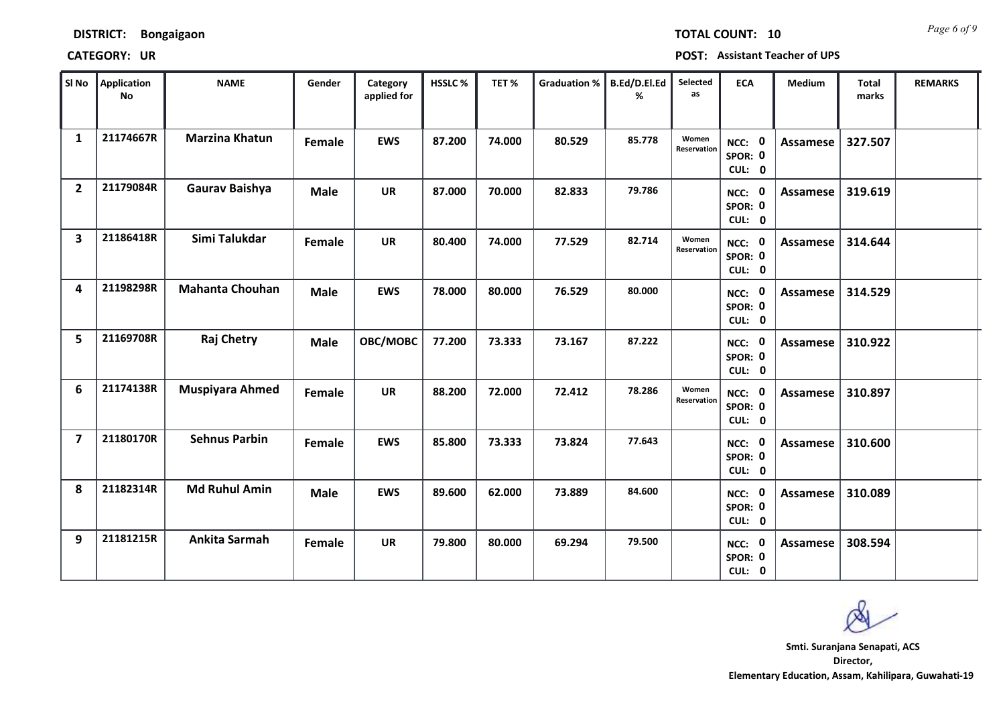# **CATEGORY: UR POST: Assistant Teacher of UPS**

| SI No          | <b>Application</b><br>No | <b>NAME</b>            | Gender      | Category<br>applied for | <b>HSSLC%</b> | TET%   | <b>Graduation %</b> | B.Ed/D.El.Ed<br>℅ | Selected<br>as       | <b>ECA</b>                         | <b>Medium</b>   | <b>Total</b><br>marks | <b>REMARKS</b> |
|----------------|--------------------------|------------------------|-------------|-------------------------|---------------|--------|---------------------|-------------------|----------------------|------------------------------------|-----------------|-----------------------|----------------|
| $\mathbf{1}$   | 21174667R                | <b>Marzina Khatun</b>  | Female      | <b>EWS</b>              | 87.200        | 74.000 | 80.529              | 85.778            | Women<br>Reservation | NCC: 0<br>SPOR: 0<br>CUL: 0        | Assamese        | 327.507               |                |
| $\overline{2}$ | 21179084R                | Gaurav Baishya         | <b>Male</b> | <b>UR</b>               | 87.000        | 70.000 | 82.833              | 79.786            |                      | NCC: 0<br>SPOR: 0<br>CUL: 0        | Assamese        | 319.619               |                |
| 3              | 21186418R                | Simi Talukdar          | Female      | <b>UR</b>               | 80.400        | 74.000 | 77.529              | 82.714            | Women<br>Reservation | NCC: 0<br>SPOR: 0<br>CUL: 0        | <b>Assamese</b> | 314.644               |                |
| 4              | 21198298R                | <b>Mahanta Chouhan</b> | <b>Male</b> | <b>EWS</b>              | 78.000        | 80.000 | 76.529              | 80.000            |                      | NCC: 0<br>SPOR: 0<br>CUL: 0        | <b>Assamese</b> | 314.529               |                |
| 5              | 21169708R                | <b>Raj Chetry</b>      | <b>Male</b> | OBC/MOBC                | 77.200        | 73.333 | 73.167              | 87.222            |                      | NCC: 0<br>SPOR: 0<br>CUL: 0        | Assamese        | 310.922               |                |
| 6              | 21174138R                | <b>Muspiyara Ahmed</b> | Female      | <b>UR</b>               | 88.200        | 72.000 | 72.412              | 78.286            | Women<br>Reservation | NCC: 0<br>SPOR: 0<br>CUL: 0        | Assamese        | 310.897               |                |
| $\overline{7}$ | 21180170R                | <b>Sehnus Parbin</b>   | Female      | <b>EWS</b>              | 85.800        | 73.333 | 73.824              | 77.643            |                      | NCC: 0<br>SPOR: 0<br>CUL: 0        | Assamese        | 310.600               |                |
| 8              | 21182314R                | <b>Md Ruhul Amin</b>   | <b>Male</b> | <b>EWS</b>              | 89.600        | 62.000 | 73.889              | 84.600            |                      | NCC: 0<br>SPOR: 0<br>CUL: 0        | <b>Assamese</b> | 310.089               |                |
| 9              | 21181215R                | Ankita Sarmah          | Female      | <b>UR</b>               | 79.800        | 80.000 | 69.294              | 79.500            |                      | <b>NCC: 0</b><br>SPOR: 0<br>CUL: 0 | Assamese        | 308.594               |                |

*Page 6 of 9* **TOTAL COUNT: 10**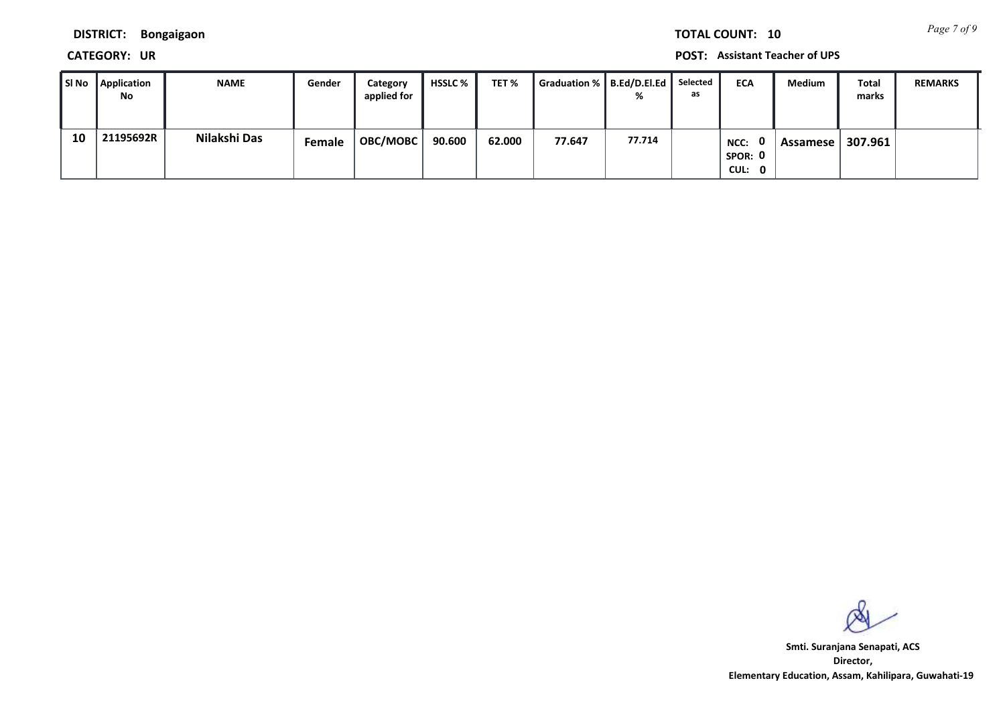*Page 7 of 9* **TOTAL COUNT: 10**

**DISTRICT: Bongaigaon**

**CATEGORY: UR POST: Assistant Teacher of UPS**

| l SI No | Application<br>No | <b>NAME</b>  | Gender | Category<br>applied for | <b>HSSLC</b> % | TET %  | Graduation %   B.Ed/D.El.Ed | %      | Selected<br>as | <b>ECA</b>                | Medium   | Total<br>marks | <b>REMARKS</b> |
|---------|-------------------|--------------|--------|-------------------------|----------------|--------|-----------------------------|--------|----------------|---------------------------|----------|----------------|----------------|
| 10      | 21195692R         | Nilakshi Das | Female | OBC/MOBC                | 90.600         | 62.000 | 77.647                      | 77.714 |                | NCC:<br>SPOR: 0<br>CUL: 0 | Assamese | 307.961        |                |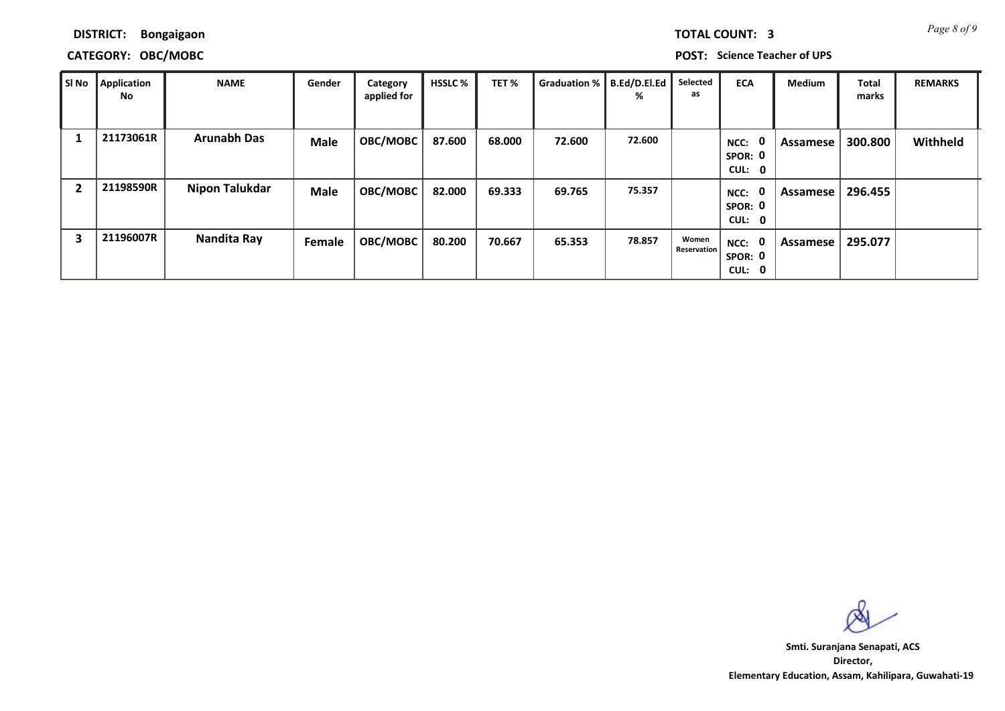*Page 8 of 9* **TOTAL COUNT: 3**

**DISTRICT: Bongaigaon**

# **CATEGORY: OBC/MOBC POST: Science Teacher of UPS**

| SI No | Application<br>No | <b>NAME</b>           | Gender        | Category<br>applied for | <b>HSSLC %</b> | TET %  | Graduation %   B.Ed/D.El.Ed | %      | Selected<br>as       | <b>ECA</b>                       | <b>Medium</b> | <b>Total</b><br>marks | <b>REMARKS</b> |
|-------|-------------------|-----------------------|---------------|-------------------------|----------------|--------|-----------------------------|--------|----------------------|----------------------------------|---------------|-----------------------|----------------|
|       | 21173061R         | <b>Arunabh Das</b>    | <b>Male</b>   | OBC/MOBC                | 87.600         | 68.000 | 72.600                      | 72.600 |                      | 0<br>NCC:<br>SPOR: 0<br>CUL: 0   | Assamese      | 300.800               | Withheld       |
| 2     | 21198590R         | <b>Nipon Talukdar</b> | Male          | OBC/MOBC                | 82.000         | 69.333 | 69.765                      | 75.357 |                      | - 0<br>NCC:<br>SPOR: 0<br>CUL: 0 | Assamese      | 296.455               |                |
| 3     | 21196007R         | Nandita Ray           | <b>Female</b> | OBC/MOBC                | 80.200         | 70.667 | 65.353                      | 78.857 | Women<br>Reservation | NCC: 0<br>SPOR: 0<br>CUL: 0      | Assamese      | 295.077               |                |